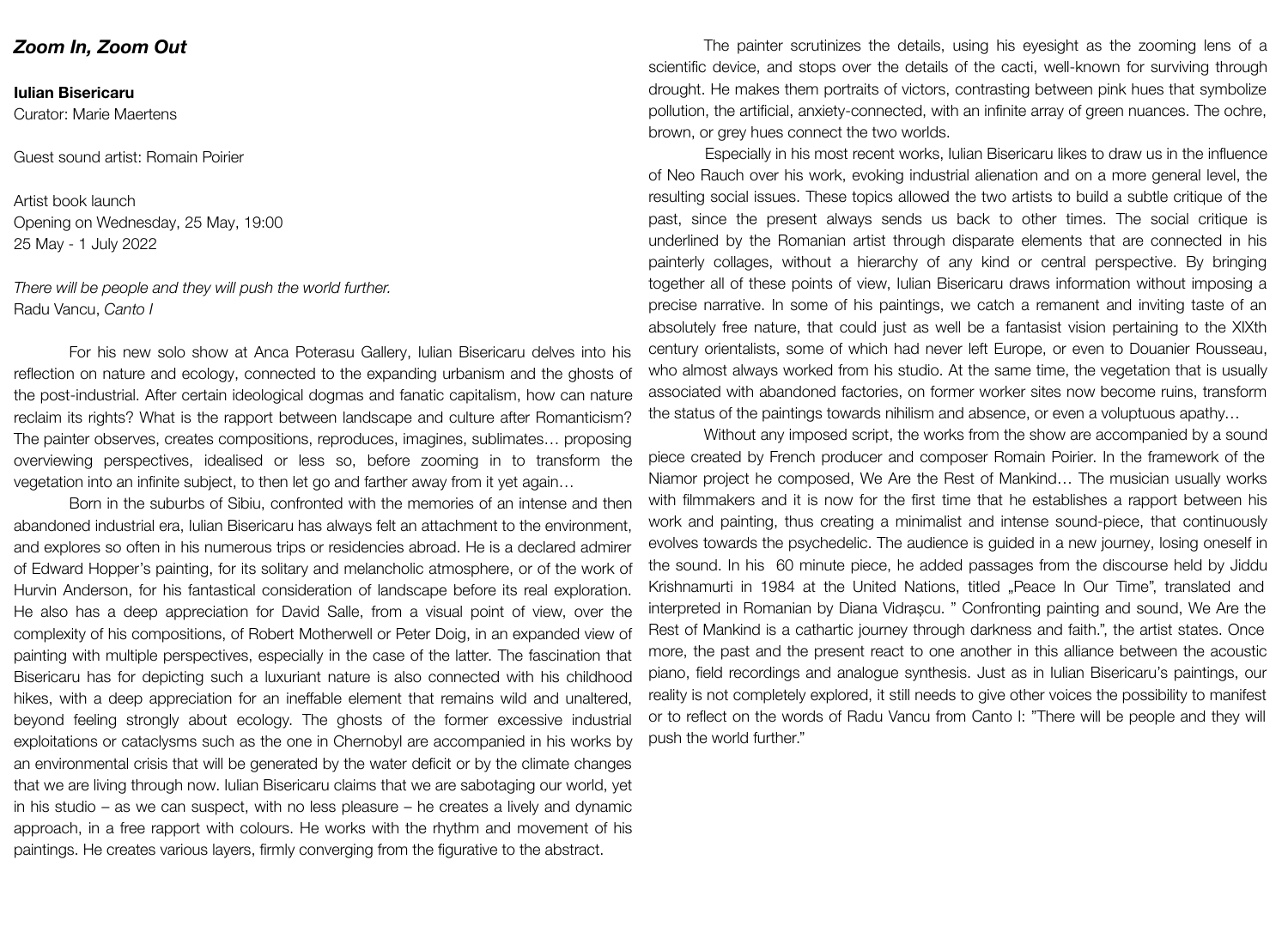## *Zoom In, Zoom Out*

## **Iulian Bisericaru**

Curator: Marie Maertens

Guest sound artist: Romain Poirier

Artist book launch Opening on Wednesday, 25 May, 19:00 25 May - 1 July 2022

*There will be people and they will push the world further.* Radu Vancu, *Canto I*

For his new solo show at Anca Poterasu Gallery, Iulian Bisericaru delves into his reflection on nature and ecology, connected to the expanding urbanism and the ghosts of the post-industrial. After certain ideological dogmas and fanatic capitalism, how can nature reclaim its rights? What is the rapport between landscape and culture after Romanticism? The painter observes, creates compositions, reproduces, imagines, sublimates… proposing overviewing perspectives, idealised or less so, before zooming in to transform the vegetation into an infinite subject, to then let go and farther away from it yet again…

Born in the suburbs of Sibiu, confronted with the memories of an intense and then abandoned industrial era, Iulian Bisericaru has always felt an attachment to the environment, and explores so often in his numerous trips or residencies abroad. He is a declared admirer of Edward Hopper's painting, for its solitary and melancholic atmosphere, or of the work of Hurvin Anderson, for his fantastical consideration of landscape before its real exploration. He also has a deep appreciation for David Salle, from a visual point of view, over the complexity of his compositions, of Robert Motherwell or Peter Doig, in an expanded view of painting with multiple perspectives, especially in the case of the latter. The fascination that Bisericaru has for depicting such a luxuriant nature is also connected with his childhood hikes, with a deep appreciation for an ineffable element that remains wild and unaltered, beyond feeling strongly about ecology. The ghosts of the former excessive industrial exploitations or cataclysms such as the one in Chernobyl are accompanied in his works by an environmental crisis that will be generated by the water deficit or by the climate changes that we are living through now. Iulian Bisericaru claims that we are sabotaging our world, yet in his studio – as we can suspect, with no less pleasure – he creates a lively and dynamic approach, in a free rapport with colours. He works with the rhythm and movement of his paintings. He creates various layers, firmly converging from the figurative to the abstract.

The painter scrutinizes the details, using his eyesight as the zooming lens of a scientific device, and stops over the details of the cacti, well-known for surviving through drought. He makes them portraits of victors, contrasting between pink hues that symbolize pollution, the artificial, anxiety-connected, with an infinite array of green nuances. The ochre, brown, or grey hues connect the two worlds.

Especially in his most recent works, Iulian Bisericaru likes to draw us in the influence of Neo Rauch over his work, evoking industrial alienation and on a more general level, the resulting social issues. These topics allowed the two artists to build a subtle critique of the past, since the present always sends us back to other times. The social critique is underlined by the Romanian artist through disparate elements that are connected in his painterly collages, without a hierarchy of any kind or central perspective. By bringing together all of these points of view, Iulian Bisericaru draws information without imposing a precise narrative. In some of his paintings, we catch a remanent and inviting taste of an absolutely free nature, that could just as well be a fantasist vision pertaining to the XIXth century orientalists, some of which had never left Europe, or even to Douanier Rousseau, who almost always worked from his studio. At the same time, the vegetation that is usually associated with abandoned factories, on former worker sites now become ruins, transform the status of the paintings towards nihilism and absence, or even a voluptuous apathy…

Without any imposed script, the works from the show are accompanied by a sound piece created by French producer and composer Romain Poirier. In the framework of the Niamor project he composed, We Are the Rest of Mankind… The musician usually works with filmmakers and it is now for the first time that he establishes a rapport between his work and painting, thus creating a minimalist and intense sound-piece, that continuously evolves towards the psychedelic. The audience is guided in a new journey, losing oneself in the sound. In his 60 minute piece, he added passages from the discourse held by Jiddu Krishnamurti in 1984 at the United Nations, titled "Peace In Our Time", translated and interpreted in Romanian by Diana Vidrașcu. " Confronting painting and sound, We Are the Rest of Mankind is a cathartic journey through darkness and faith.", the artist states. Once more, the past and the present react to one another in this alliance between the acoustic piano, field recordings and analogue synthesis. Just as in Iulian Bisericaru's paintings, our reality is not completely explored, it still needs to give other voices the possibility to manifest or to reflect on the words of Radu Vancu from Canto I: "There will be people and they will push the world further."